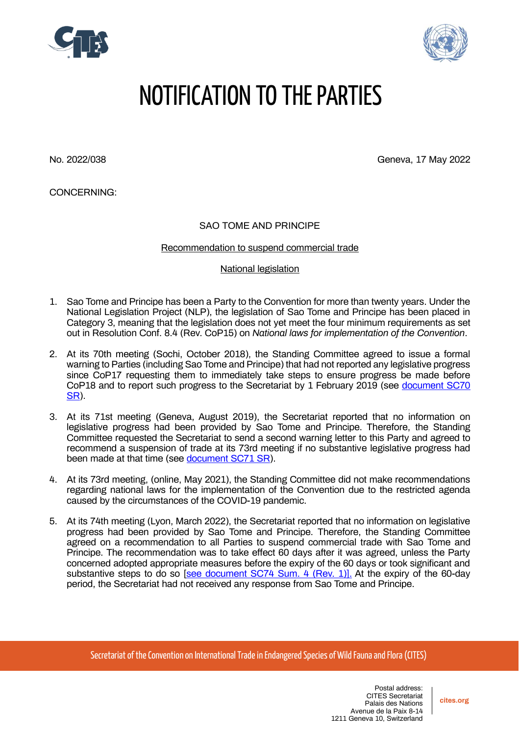



# NOTIFICATION TO THE PARTIES

No. 2022/038 Geneva, 17 May 2022

CONCERNING:

## SAO TOME AND PRINCIPE

### Recommendation to suspend commercial trade

### National legislation

- 1. Sao Tome and Principe has been a Party to the Convention for more than twenty years. Under the National Legislation Project (NLP), the legislation of Sao Tome and Principe has been placed in Category 3, meaning that the legislation does not yet meet the four minimum requirements as set out in Resolution Conf. 8.4 (Rev. CoP15) on *[National laws for implementation of the Convention](https://cites.org/eng/res/08/08-04R15.php)*.
- 2. At its 70th meeting (Sochi, October 2018), the Standing Committee agreed to issue a formal warning to Parties (including Sao Tome and Principe) that had not reported any legislative progress since CoP17 requesting them to immediately take steps to ensure progress be made before CoP18 and to report such progress to the Secretariat by 1 February 2019 (see [document SC70](https://cites.org/sites/default/files/eng/com/sc/70/exsum/E-SC70-SR.pdf)  [SR\)](https://cites.org/sites/default/files/eng/com/sc/70/exsum/E-SC70-SR.pdf).
- 3. At its 71st meeting (Geneva, August 2019), the Secretariat reported that no information on legislative progress had been provided by Sao Tome and Principe. Therefore, the Standing Committee requested the Secretariat to send a second warning letter to this Party and agreed to recommend a suspension of trade at its 73rd meeting if no substantive legislative progress had been made at that time (see [document SC71 SR\)](https://cites.org/sites/default/files/eng/com/sc/71/exsum/E-SC71-SR.pdf).
- 4. At its 73rd meeting, (online, May 2021), the Standing Committee did not make recommendations regarding national laws for the implementation of the Convention due to the restricted agenda caused by the circumstances of the COVID-19 pandemic.
- 5. At its 74th meeting (Lyon, March 2022), the Secretariat reported that no information on legislative progress had been provided by Sao Tome and Principe. Therefore, the Standing Committee agreed on a recommendation to all Parties to suspend commercial trade with Sao Tome and Principe. The recommendation was to take effect 60 days after it was agreed, unless the Party concerned adopted appropriate measures before the expiry of the 60 days or took significant and substantive steps to do so [\[see document SC74 Sum. 4 \(Rev. 1\)\].](https://cites.org/sites/default/files/eng/com/sc/74/exsum/E-SC74-Sum-04-R1.pdf) At the expiry of the 60-day period, the Secretariat had not received any response from Sao Tome and Principe.

Secretariat of the Convention on International Trade in Endangered Species of Wild Fauna and Flora (CITES)

**cites.org**